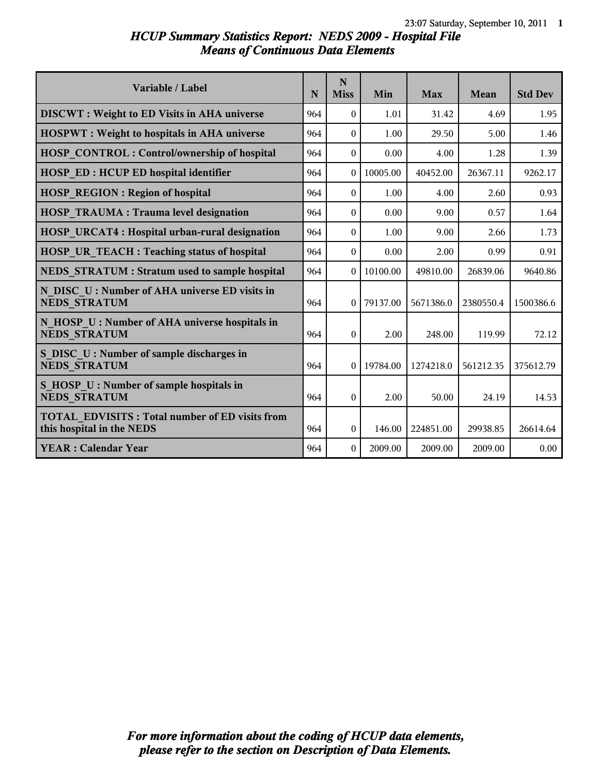# *HCUP Summary Statistics Report: NEDS 2009 - Hospital File Means of Continuous Data Elements*

| Variable / Label                                                                   | N   | N<br><b>Miss</b> | Min      | <b>Max</b> | Mean      | <b>Std Dev</b> |
|------------------------------------------------------------------------------------|-----|------------------|----------|------------|-----------|----------------|
| <b>DISCWT</b> : Weight to ED Visits in AHA universe                                | 964 | $\theta$         | 1.01     | 31.42      | 4.69      | 1.95           |
| <b>HOSPWT</b> : Weight to hospitals in AHA universe                                | 964 | $\Omega$         | 1.00     | 29.50      | 5.00      | 1.46           |
| <b>HOSP CONTROL: Control/ownership of hospital</b>                                 | 964 | $\theta$         | 0.00     | 4.00       | 1.28      | 1.39           |
| <b>HOSP ED: HCUP ED hospital identifier</b>                                        | 964 | $\Omega$         | 10005.00 | 40452.00   | 26367.11  | 9262.17        |
| <b>HOSP REGION: Region of hospital</b>                                             | 964 | $\Omega$         | 1.00     | 4.00       | 2.60      | 0.93           |
| <b>HOSP TRAUMA: Trauma level designation</b>                                       | 964 | $\theta$         | 0.00     | 9.00       | 0.57      | 1.64           |
| <b>HOSP URCAT4: Hospital urban-rural designation</b>                               | 964 | $\Omega$         | 1.00     | 9.00       | 2.66      | 1.73           |
| <b>HOSP UR TEACH: Teaching status of hospital</b>                                  | 964 | $\Omega$         | 0.00     | 2.00       | 0.99      | 0.91           |
| NEDS STRATUM : Stratum used to sample hospital                                     | 964 | $\Omega$         | 10100.00 | 49810.00   | 26839.06  | 9640.86        |
| N DISC U: Number of AHA universe ED visits in<br><b>NEDS STRATUM</b>               | 964 | $\theta$         | 79137.00 | 5671386.0  | 2380550.4 | 1500386.6      |
| N HOSP U: Number of AHA universe hospitals in<br><b>NEDS STRATUM</b>               | 964 | $\theta$         | 2.00     | 248.00     | 119.99    | 72.12          |
| S DISC U: Number of sample discharges in<br><b>NEDS STRATUM</b>                    | 964 | $\Omega$         | 19784.00 | 1274218.0  | 561212.35 | 375612.79      |
| S HOSP U : Number of sample hospitals in<br><b>NEDS STRATUM</b>                    | 964 | $\theta$         | 2.00     | 50.00      | 24.19     | 14.53          |
| <b>TOTAL EDVISITS: Total number of ED visits from</b><br>this hospital in the NEDS | 964 | 0                | 146.00   | 224851.00  | 29938.85  | 26614.64       |
| <b>YEAR: Calendar Year</b>                                                         | 964 | $\Omega$         | 2009.00  | 2009.00    | 2009.00   | 0.00           |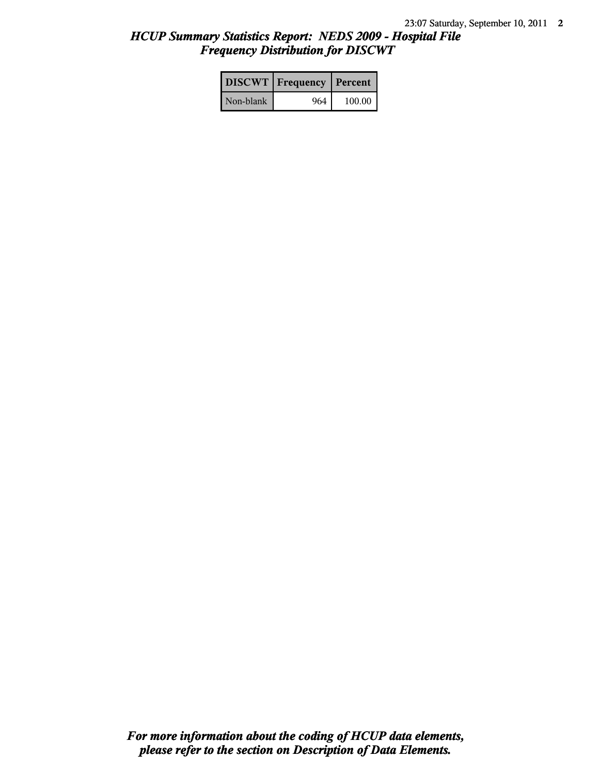# *HCUP Summary Statistics Report: NEDS 2009 - Hospital File Frequency Distribution for DISCWT*

|           | <b>DISCWT</b>   Frequency   Percent |        |
|-----------|-------------------------------------|--------|
| Non-blank | 964                                 | 100.00 |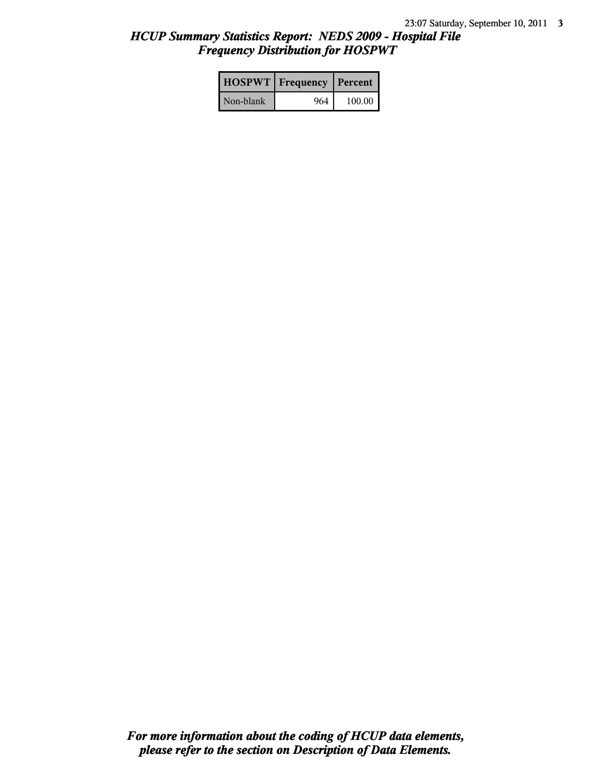# *HCUP Summary Statistics Report: NEDS 2009 - Hospital File Frequency Distribution for HOSPWT*

|           | <b>HOSPWT</b>   Frequency   Percent |        |
|-----------|-------------------------------------|--------|
| Non-blank | 964                                 | 100.00 |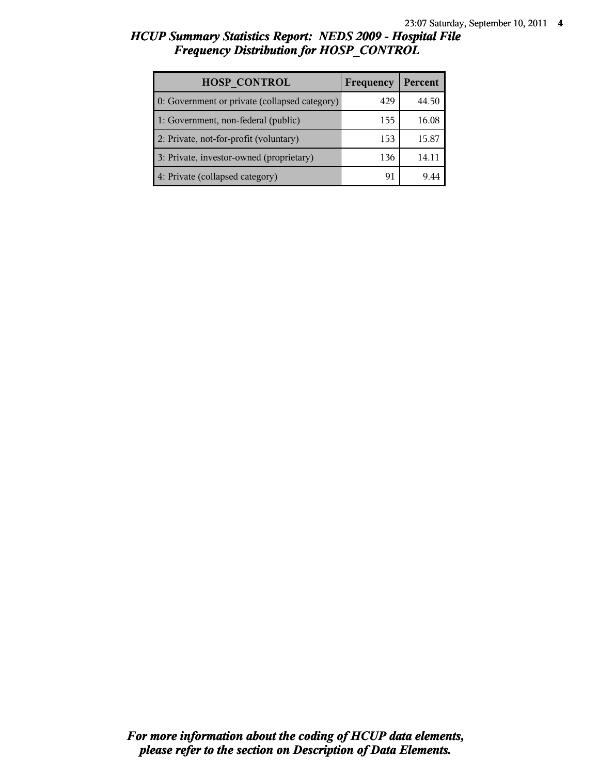# *HCUP Summary Statistics Report: NEDS 2009 - Hospital File Frequency Distribution for HOSP\_CONTROL*

| <b>HOSP CONTROL</b>                           | Frequency | Percent |
|-----------------------------------------------|-----------|---------|
| 0: Government or private (collapsed category) | 429       | 44.50   |
| 1: Government, non-federal (public)           | 155       | 16.08   |
| 2: Private, not-for-profit (voluntary)        | 153       | 15.87   |
| 3: Private, investor-owned (proprietary)      | 136       | 14.1    |
| 4: Private (collapsed category)               | 9⊺        |         |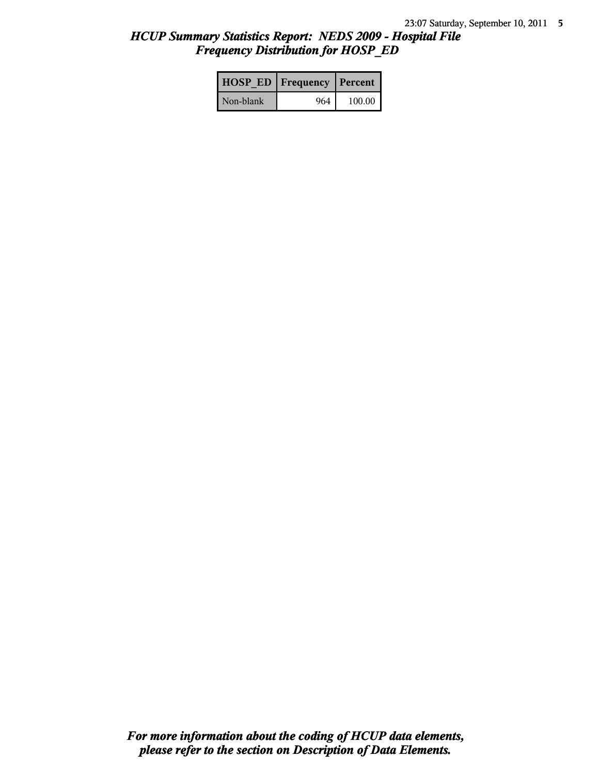# *HCUP Summary Statistics Report: NEDS 2009 - Hospital File Frequency Distribution for HOSP\_ED*

|           | <b>HOSP ED   Frequency   Percent  </b> |        |
|-----------|----------------------------------------|--------|
| Non-blank | 964                                    | 100.00 |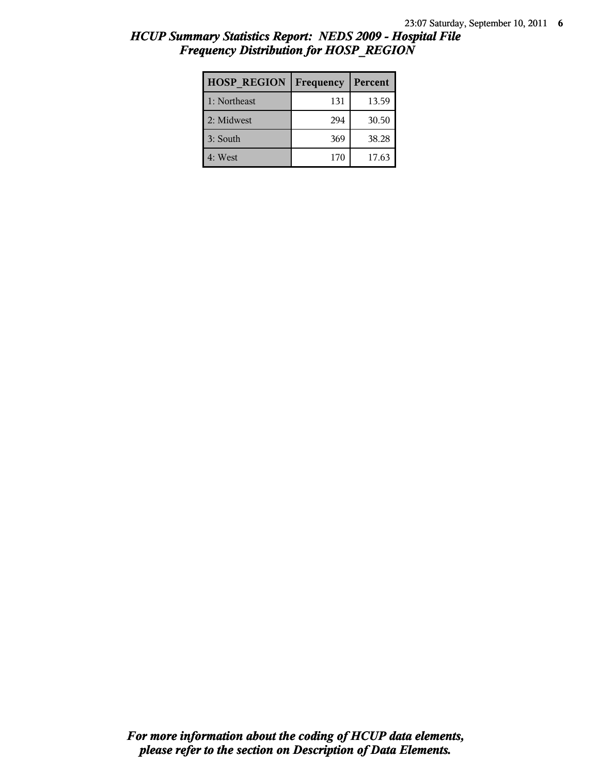| <b>HOSP REGION</b> | Frequency | Percent |
|--------------------|-----------|---------|
| 1: Northeast       | 131       | 13.59   |
| 2: Midwest         | 294       | 30.50   |
| 3: South           | 369       | 38.28   |
| 4: West            | 170       | 17.63   |

# *HCUP Summary Statistics Report: NEDS 2009 - Hospital File Frequency Distribution for HOSP\_REGION*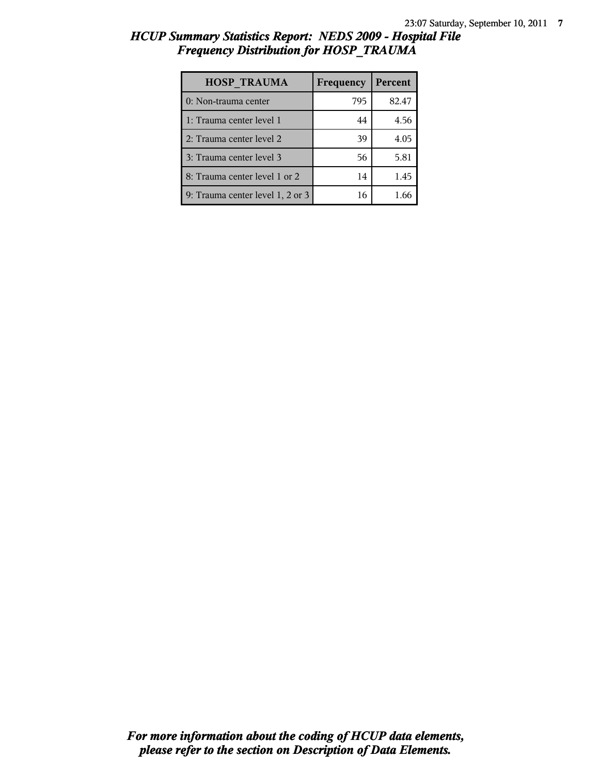# *HCUP Summary Statistics Report: NEDS 2009 - Hospital File Frequency Distribution for HOSP\_TRAUMA*

| <b>HOSP TRAUMA</b>               | Frequency | Percent |
|----------------------------------|-----------|---------|
| 0: Non-trauma center             | 795       | 82.47   |
| 1: Trauma center level 1         | 44        | 4.56    |
| 2: Trauma center level 2         | 39        | 4.05    |
| 3: Trauma center level 3         | 56        | 5.81    |
| 8: Trauma center level 1 or 2    | 14        | 1.45    |
| 9: Trauma center level 1, 2 or 3 | 16        | 1 66    |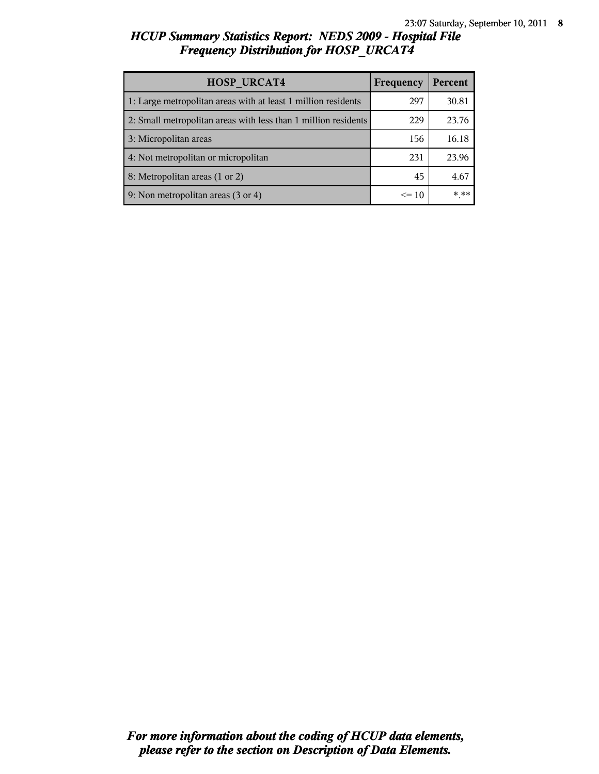# *HCUP Summary Statistics Report: NEDS 2009 - Hospital File Frequency Distribution for HOSP\_URCAT4*

| <b>HOSP URCAT4</b>                                             | Frequency | Percent |
|----------------------------------------------------------------|-----------|---------|
| 1: Large metropolitan areas with at least 1 million residents  | 297       | 30.81   |
| 2: Small metropolitan areas with less than 1 million residents | 229       | 23.76   |
| 3: Micropolitan areas                                          | 156       | 16.18   |
| 4: Not metropolitan or micropolitan                            | 231       | 23.96   |
| 8: Metropolitan areas (1 or 2)                                 | 45        | 4.67    |
| 9: Non metropolitan areas (3 or 4)                             | $\leq 10$ | * **    |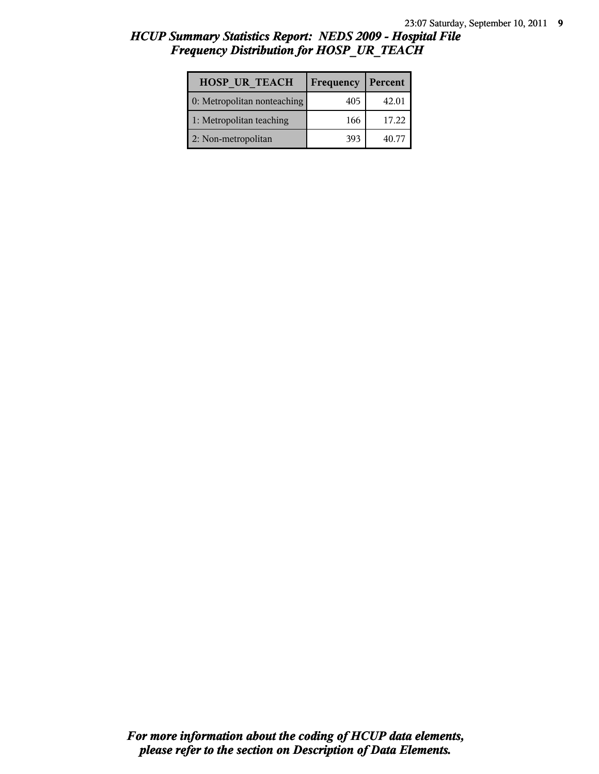# *HCUP Summary Statistics Report: NEDS 2009 - Hospital File Frequency Distribution for HOSP\_UR\_TEACH*

| <b>HOSP UR TEACH</b>        | Frequency | Percent |
|-----------------------------|-----------|---------|
| 0: Metropolitan nonteaching | 405       | 42.01   |
| 1: Metropolitan teaching    | 166       | 17.22   |
| 2: Non-metropolitan         | 393       | 40.77   |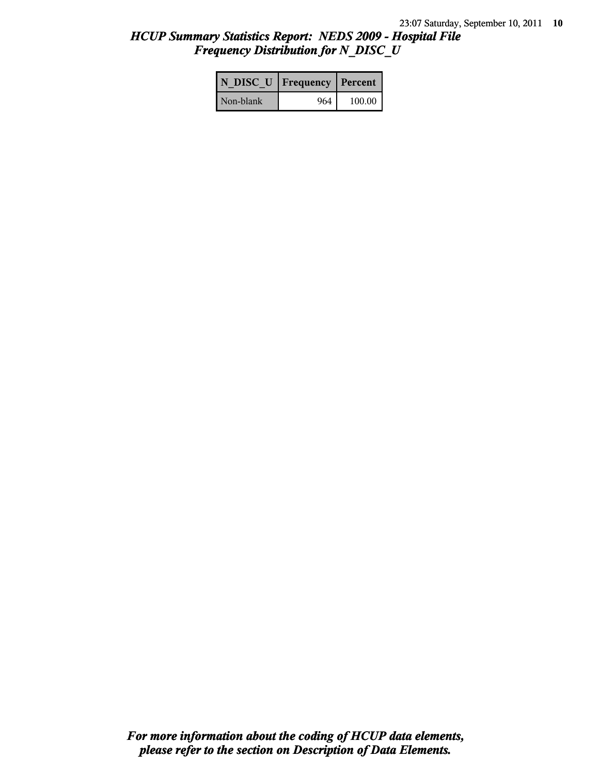# *HCUP Summary Statistics Report: NEDS 2009 - Hospital File Frequency Distribution for N\_DISC\_U*

| N DISC U   Frequency   Percent |     |        |
|--------------------------------|-----|--------|
| Non-blank                      | 964 | 100.00 |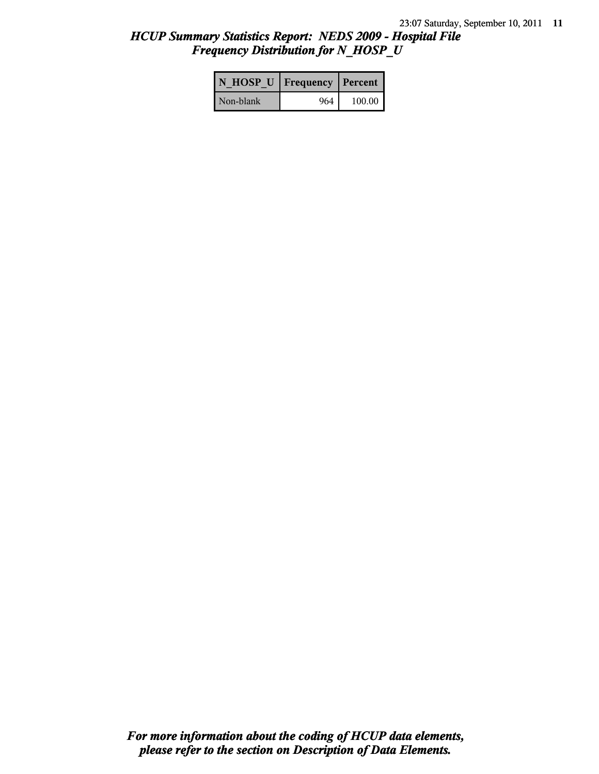# *HCUP Summary Statistics Report: NEDS 2009 - Hospital File Frequency Distribution for N\_HOSP\_U*

| N HOSP U   Frequency   Percent |     |        |
|--------------------------------|-----|--------|
| Non-blank                      | 964 | 100.00 |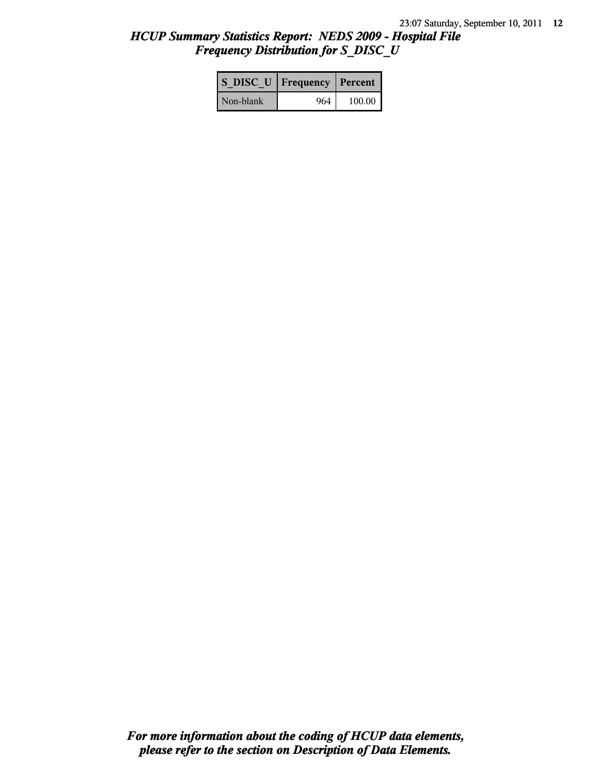# *HCUP Summary Statistics Report: NEDS 2009 - Hospital File Frequency Distribution for S\_DISC\_U*

| S DISC U   Frequency   Percent |       |        |
|--------------------------------|-------|--------|
| Non-blank                      | 964 I | 100.00 |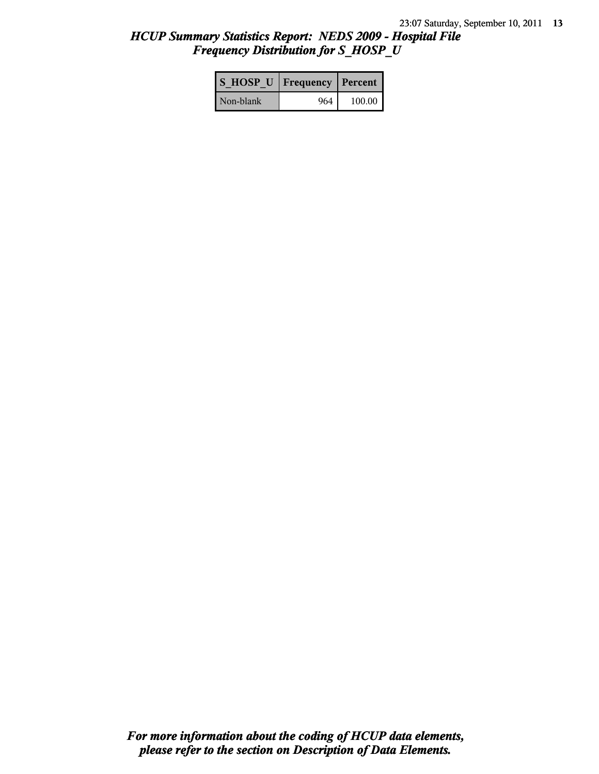# *HCUP Summary Statistics Report: NEDS 2009 - Hospital File Frequency Distribution for S\_HOSP\_U*

| S HOSP U Frequency   Percent |     |          |
|------------------------------|-----|----------|
| Non-blank                    | 964 | $100.00$ |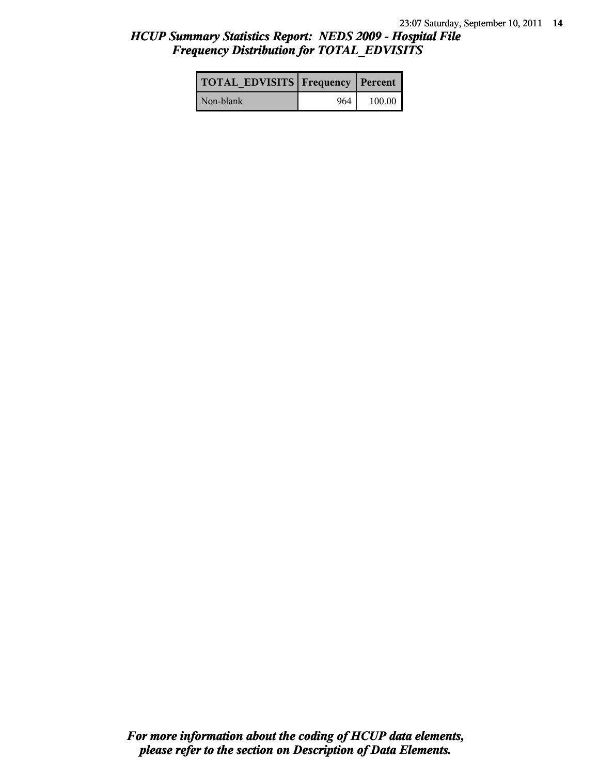# *HCUP Summary Statistics Report: NEDS 2009 - Hospital File Frequency Distribution for TOTAL\_EDVISITS*

| <b>TOTAL EDVISITS Frequency Percent</b> |     |        |
|-----------------------------------------|-----|--------|
| Non-blank                               | 964 | 100.00 |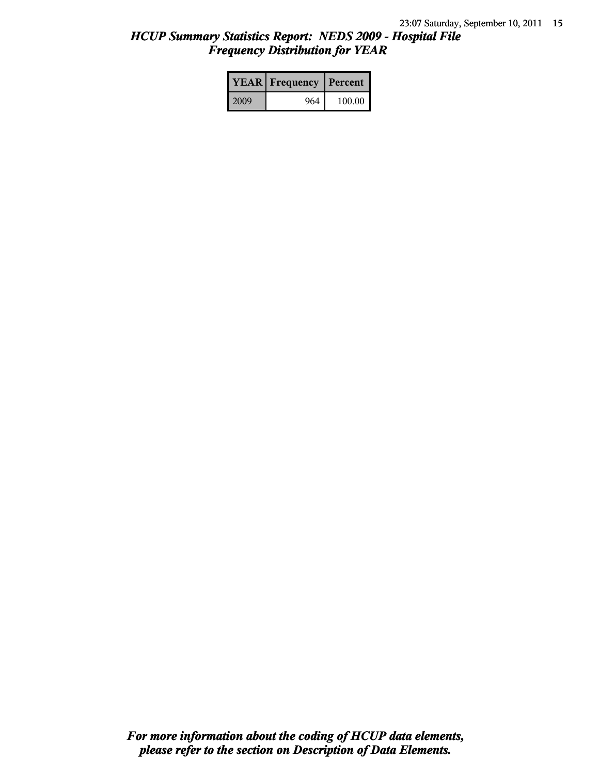# *HCUP Summary Statistics Report: NEDS 2009 - Hospital File Frequency Distribution for YEAR*

|      | <b>YEAR</b> Frequency | Percent |  |
|------|-----------------------|---------|--|
| 2009 | 964                   | 100.00  |  |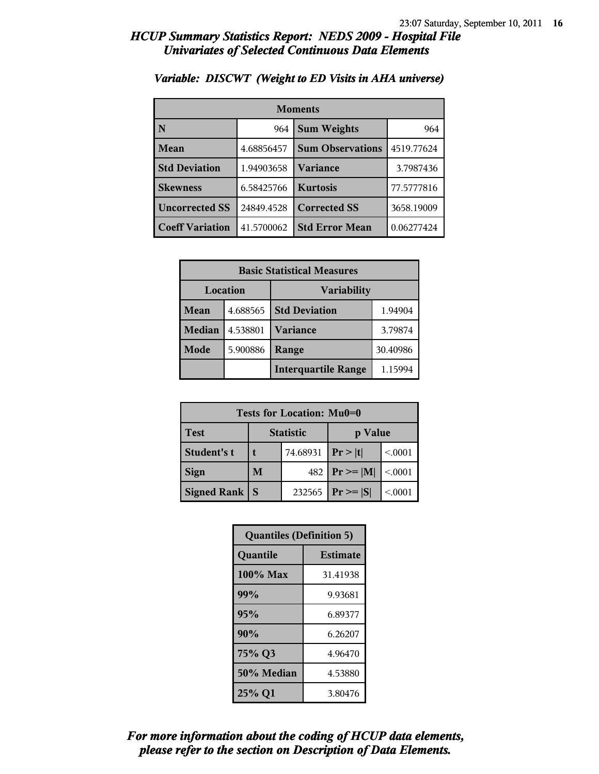| <b>Moments</b>         |            |                         |            |  |
|------------------------|------------|-------------------------|------------|--|
| N                      | 964        | <b>Sum Weights</b>      |            |  |
| Mean                   | 4.68856457 | <b>Sum Observations</b> | 4519.77624 |  |
| <b>Std Deviation</b>   | 1.94903658 | Variance                | 3.7987436  |  |
| <b>Skewness</b>        | 6.58425766 | <b>Kurtosis</b>         | 77.5777816 |  |
| <b>Uncorrected SS</b>  | 24849.4528 | <b>Corrected SS</b>     | 3658.19009 |  |
| <b>Coeff Variation</b> | 41.5700062 | <b>Std Error Mean</b>   | 0.06277424 |  |

#### *Variable: DISCWT (Weight to ED Visits in AHA universe)*

| <b>Basic Statistical Measures</b> |          |                            |          |
|-----------------------------------|----------|----------------------------|----------|
| Location                          |          | <b>Variability</b>         |          |
| <b>Mean</b>                       | 4.688565 | <b>Std Deviation</b>       | 1.94904  |
| <b>Median</b>                     | 4.538801 | <b>Variance</b>            | 3.79874  |
| Mode                              | 5.900886 | Range                      | 30.40986 |
|                                   |          | <b>Interquartile Range</b> | 1.15994  |

| Tests for Location: Mu0=0 |                             |          |                |         |
|---------------------------|-----------------------------|----------|----------------|---------|
| <b>Test</b>               | <b>Statistic</b><br>p Value |          |                |         |
| Student's t               | t                           | 74.68931 | Pr >  t        | < 0001  |
| <b>Sign</b>               | M                           | 482      | $P_r \geq  M $ | < 0.001 |
| <b>Signed Rank</b>        | S                           | 232565   | $Pr \geq  S $  | < 0001  |

| <b>Quantiles (Definition 5)</b> |                 |  |
|---------------------------------|-----------------|--|
| Quantile                        | <b>Estimate</b> |  |
| 100% Max                        | 31.41938        |  |
| 99%                             | 9.93681         |  |
| 95%                             | 6.89377         |  |
| 90%                             | 6.26207         |  |
| 75% Q3                          | 4.96470         |  |
| 50% Median                      | 4.53880         |  |
| 25% Q1                          | 3.80476         |  |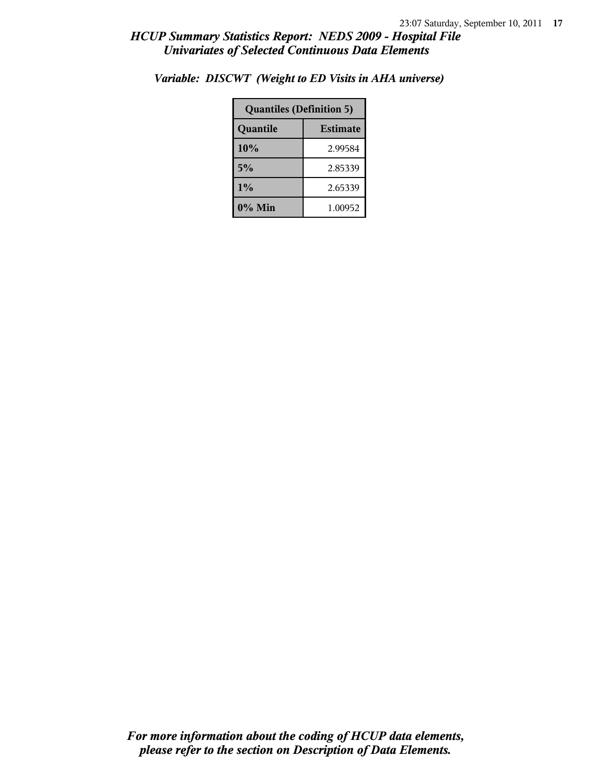| <b>Quantiles (Definition 5)</b> |         |  |
|---------------------------------|---------|--|
| <b>Estimate</b><br>Quantile     |         |  |
| 10%                             | 2.99584 |  |
| 5%                              | 2.85339 |  |
| $1\%$                           | 2.65339 |  |
| $0\%$ Min                       | 1.00952 |  |

*Variable: DISCWT (Weight to ED Visits in AHA universe)*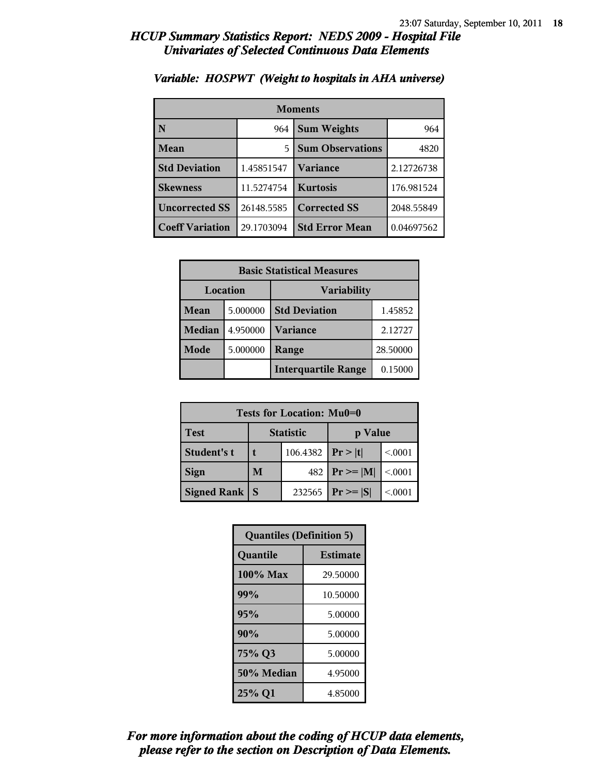| <b>Moments</b>         |            |                         |            |  |
|------------------------|------------|-------------------------|------------|--|
| N                      | 964        | <b>Sum Weights</b>      | 964        |  |
| Mean                   | 5          | <b>Sum Observations</b> | 4820       |  |
| <b>Std Deviation</b>   | 1.45851547 | Variance                | 2.12726738 |  |
| <b>Skewness</b>        | 11.5274754 | <b>Kurtosis</b>         | 176.981524 |  |
| <b>Uncorrected SS</b>  | 26148.5585 | <b>Corrected SS</b>     | 2048.55849 |  |
| <b>Coeff Variation</b> | 29.1703094 | <b>Std Error Mean</b>   | 0.04697562 |  |

#### *Variable: HOSPWT (Weight to hospitals in AHA universe)*

| <b>Basic Statistical Measures</b> |          |                            |          |
|-----------------------------------|----------|----------------------------|----------|
| Location                          |          | <b>Variability</b>         |          |
| <b>Mean</b>                       | 5.000000 | <b>Std Deviation</b>       | 1.45852  |
| <b>Median</b>                     | 4.950000 | <b>Variance</b>            | 2.12727  |
| Mode                              | 5.000000 | Range                      | 28.50000 |
|                                   |          | <b>Interquartile Range</b> | 0.15000  |

| Tests for Location: Mu0=0 |                             |          |                |         |
|---------------------------|-----------------------------|----------|----------------|---------|
| <b>Test</b>               | <b>Statistic</b><br>p Value |          |                |         |
| Student's t               | t                           | 106.4382 | Pr> t          | < 0001  |
| <b>Sign</b>               | M                           | 482      | $P_r \geq  M $ | < 0.001 |
| <b>Signed Rank</b>        | S                           | 232565   | $Pr \geq  S $  | < 0001  |

| <b>Quantiles (Definition 5)</b> |                 |  |
|---------------------------------|-----------------|--|
| Quantile                        | <b>Estimate</b> |  |
| 100% Max                        | 29.50000        |  |
| 99%                             | 10.50000        |  |
| 95%                             | 5.00000         |  |
| 90%                             | 5.00000         |  |
| 75% Q3                          | 5.00000         |  |
| 50% Median                      | 4.95000         |  |
| 25% Q1                          | 4.85000         |  |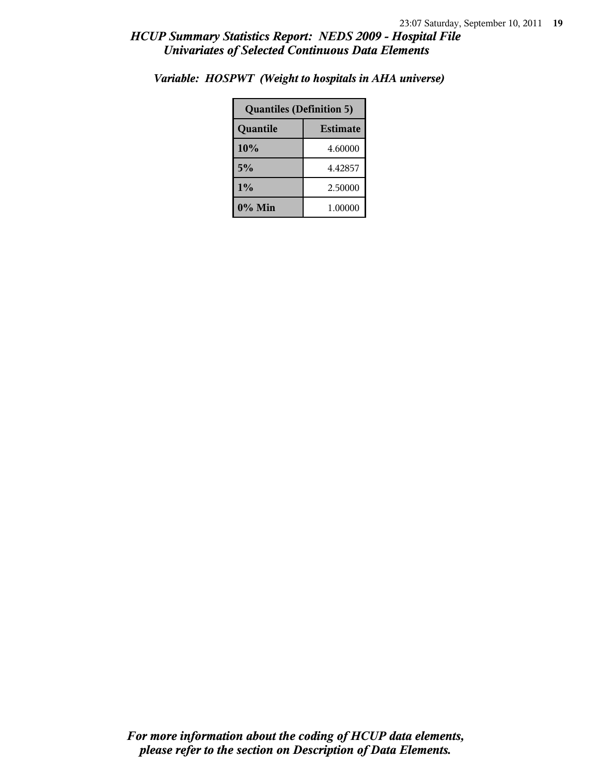| <b>Quantiles (Definition 5)</b> |         |  |
|---------------------------------|---------|--|
| <b>Estimate</b><br>Quantile     |         |  |
| 10%                             | 4.60000 |  |
| 5%                              | 4.42857 |  |
| $1\%$                           | 2.50000 |  |
| 0% Min                          | 1.00000 |  |

*Variable: HOSPWT (Weight to hospitals in AHA universe)*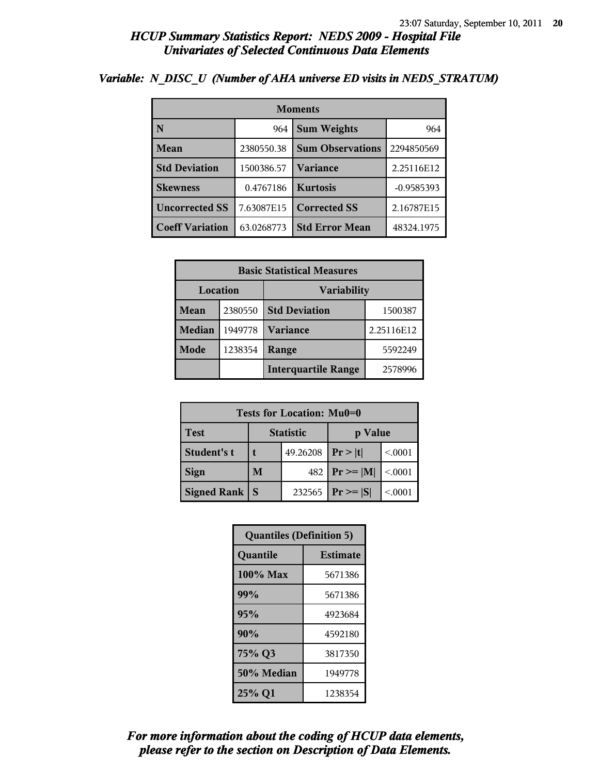| <b>Moments</b>         |            |                         |              |
|------------------------|------------|-------------------------|--------------|
|                        | 964        | <b>Sum Weights</b>      | 964          |
| <b>Mean</b>            | 2380550.38 | <b>Sum Observations</b> | 2294850569   |
| <b>Std Deviation</b>   | 1500386.57 | Variance                | 2.25116E12   |
| <b>Skewness</b>        | 0.4767186  | <b>Kurtosis</b>         | $-0.9585393$ |
| <b>Uncorrected SS</b>  | 7.63087E15 | <b>Corrected SS</b>     | 2.16787E15   |
| <b>Coeff Variation</b> | 63.0268773 | <b>Std Error Mean</b>   | 48324.1975   |

#### *Variable: N\_DISC\_U (Number of AHA universe ED visits in NEDS\_STRATUM)*

| <b>Basic Statistical Measures</b> |         |                                 |            |  |
|-----------------------------------|---------|---------------------------------|------------|--|
| Location<br><b>Variability</b>    |         |                                 |            |  |
| Mean                              | 2380550 | <b>Std Deviation</b><br>1500387 |            |  |
| <b>Median</b>                     | 1949778 | <b>Variance</b>                 | 2.25116E12 |  |
| Mode                              | 1238354 | Range                           | 5592249    |  |
|                                   |         | <b>Interquartile Range</b>      | 2578996    |  |

| Tests for Location: Mu0=0 |                             |          |                 |         |  |
|---------------------------|-----------------------------|----------|-----------------|---------|--|
| <b>Test</b>               | <b>Statistic</b><br>p Value |          |                 |         |  |
| Student's t               |                             | 49.26208 | Pr >  t         | < 0001  |  |
| <b>Sign</b>               | 482<br>M                    |          | $ Pr \ge =  M $ | < 0.001 |  |
| <b>Signed Rank</b>        | 232565<br>S                 |          | $Pr \geq  S $   | < 0001  |  |

| <b>Quantiles (Definition 5)</b> |                 |  |
|---------------------------------|-----------------|--|
| Quantile                        | <b>Estimate</b> |  |
| 100% Max                        | 5671386         |  |
| 99%                             | 5671386         |  |
| 95%                             | 4923684         |  |
| 90%                             | 4592180         |  |
| 75% Q3                          | 3817350         |  |
| 50% Median                      | 1949778         |  |
| 25% Q1                          | 1238354         |  |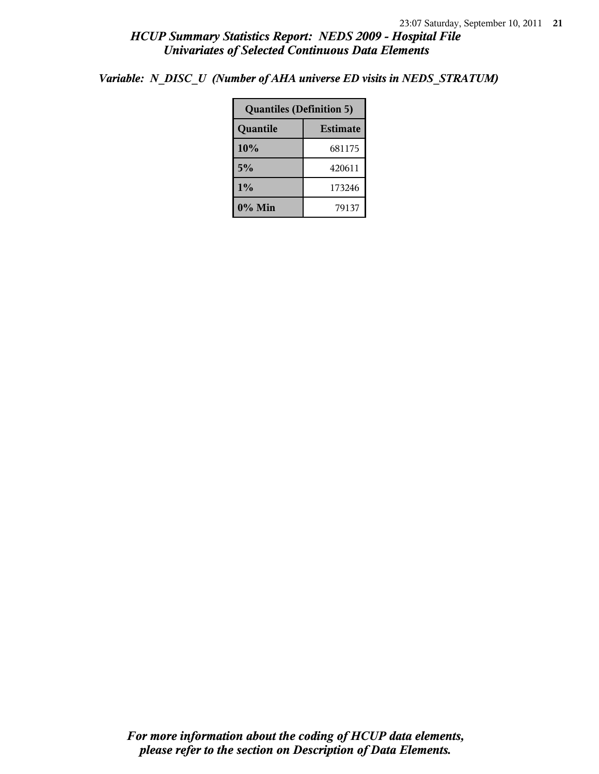*Variable: N\_DISC\_U (Number of AHA universe ED visits in NEDS\_STRATUM)*

| <b>Quantiles (Definition 5)</b> |        |  |
|---------------------------------|--------|--|
| Quantile<br><b>Estimate</b>     |        |  |
| 10%                             | 681175 |  |
| 5%                              | 420611 |  |
| 1%                              | 173246 |  |
| 0% Min<br>79137                 |        |  |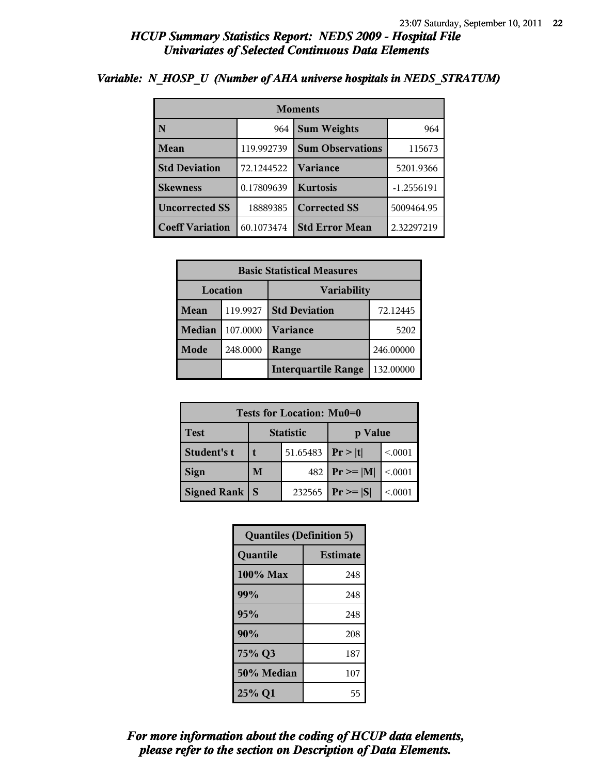| <b>Moments</b>         |            |                         |              |
|------------------------|------------|-------------------------|--------------|
| N                      | 964        | <b>Sum Weights</b>      | 964          |
| Mean                   | 119.992739 | <b>Sum Observations</b> | 115673       |
| <b>Std Deviation</b>   | 72.1244522 | Variance                | 5201.9366    |
| <b>Skewness</b>        | 0.17809639 | <b>Kurtosis</b>         | $-1.2556191$ |
| <b>Uncorrected SS</b>  | 18889385   | <b>Corrected SS</b>     | 5009464.95   |
| <b>Coeff Variation</b> | 60.1073474 | <b>Std Error Mean</b>   | 2.32297219   |

#### *Variable: N\_HOSP\_U (Number of AHA universe hospitals in NEDS\_STRATUM)*

| <b>Basic Statistical Measures</b> |          |                            |           |  |
|-----------------------------------|----------|----------------------------|-----------|--|
| Location<br><b>Variability</b>    |          |                            |           |  |
| <b>Mean</b>                       | 119.9927 | <b>Std Deviation</b>       | 72.12445  |  |
| <b>Median</b>                     | 107.0000 | <b>Variance</b>            | 5202      |  |
| Mode                              | 248.0000 | Range                      | 246.00000 |  |
|                                   |          | <b>Interquartile Range</b> | 132.00000 |  |

| Tests for Location: Mu0=0 |                             |          |                    |         |  |
|---------------------------|-----------------------------|----------|--------------------|---------|--|
| <b>Test</b>               | <b>Statistic</b><br>p Value |          |                    |         |  |
| Student's t               |                             | 51.65483 | Pr >  t            | < 0001  |  |
| <b>Sign</b>               | M                           |          | 482   $Pr \ge  M $ | < 0.001 |  |
| <b>Signed Rank</b><br>S   |                             | 232565   | $Pr \geq  S $      | < 0001  |  |

| <b>Quantiles (Definition 5)</b> |                 |  |
|---------------------------------|-----------------|--|
| Quantile                        | <b>Estimate</b> |  |
| 100% Max                        | 248             |  |
| 99%                             | 248             |  |
| 95%                             | 248             |  |
| 90%                             | 208             |  |
| 75% Q3                          | 187             |  |
| 50% Median                      | 107             |  |
| 25% Q1                          | 55              |  |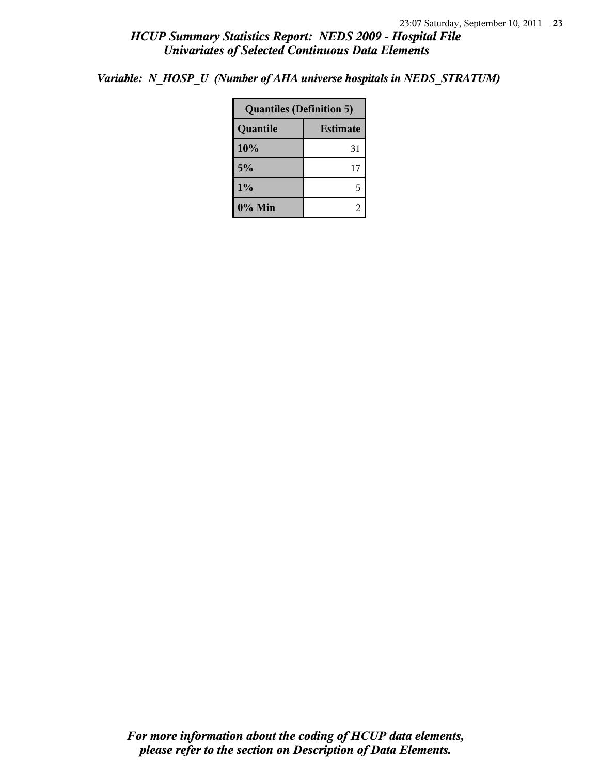*Variable: N\_HOSP\_U (Number of AHA universe hospitals in NEDS\_STRATUM)*

| <b>Quantiles (Definition 5)</b> |    |  |
|---------------------------------|----|--|
| Quantile<br><b>Estimate</b>     |    |  |
| 10%                             | 31 |  |
| 5%                              | 17 |  |
| $1\%$<br>5                      |    |  |
| $0\%$ Min                       |    |  |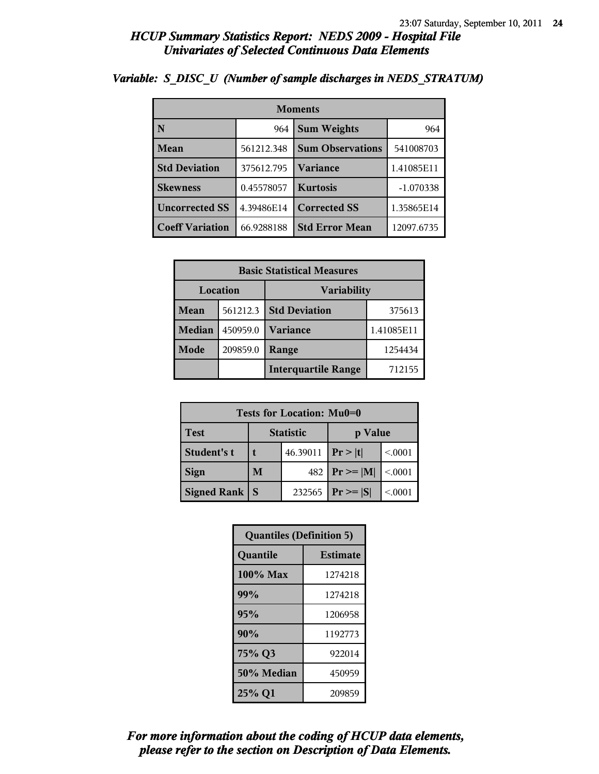| <b>Moments</b>         |            |                         |             |
|------------------------|------------|-------------------------|-------------|
| N                      | 964        | <b>Sum Weights</b>      | 964         |
| Mean                   | 561212.348 | <b>Sum Observations</b> | 541008703   |
| <b>Std Deviation</b>   | 375612.795 | <b>Variance</b>         | 1.41085E11  |
| <b>Skewness</b>        | 0.45578057 | <b>Kurtosis</b>         | $-1.070338$ |
| <b>Uncorrected SS</b>  | 4.39486E14 | <b>Corrected SS</b>     | 1.35865E14  |
| <b>Coeff Variation</b> | 66.9288188 | <b>Std Error Mean</b>   | 12097.6735  |

## *Variable: S\_DISC\_U (Number of sample discharges in NEDS\_STRATUM)*

| <b>Basic Statistical Measures</b> |          |                            |            |  |
|-----------------------------------|----------|----------------------------|------------|--|
| Location<br>Variability           |          |                            |            |  |
| Mean                              | 561212.3 | <b>Std Deviation</b>       | 375613     |  |
| <b>Median</b>                     | 450959.0 | <b>Variance</b>            | 1.41085E11 |  |
| Mode                              | 209859.0 | Range                      | 1254434    |  |
|                                   |          | <b>Interquartile Range</b> | 712155     |  |

| Tests for Location: Mu0=0 |                             |        |                 |         |  |  |
|---------------------------|-----------------------------|--------|-----------------|---------|--|--|
| <b>Test</b>               | <b>Statistic</b><br>p Value |        |                 |         |  |  |
| Student's t               | 46.39011                    |        | Pr> t           | < 0001  |  |  |
| <b>Sign</b>               | M                           | 482    | $ Pr \ge =  M $ | < 0.001 |  |  |
| <b>Signed Rank</b>        | <b>S</b>                    | 232565 | $Pr \geq  S $   | < 0001  |  |  |

| <b>Quantiles (Definition 5)</b> |         |  |  |
|---------------------------------|---------|--|--|
| Quantile<br><b>Estimate</b>     |         |  |  |
| 100% Max                        | 1274218 |  |  |
| 99%                             | 1274218 |  |  |
| 95%                             | 1206958 |  |  |
| 90%                             | 1192773 |  |  |
| 75% Q3                          | 922014  |  |  |
| 50% Median                      | 450959  |  |  |
| 25% Q1<br>209859                |         |  |  |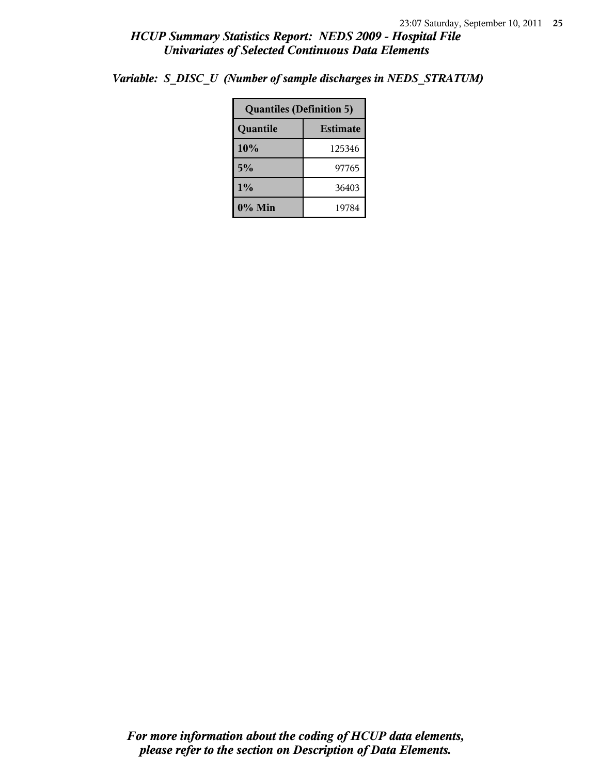| <b>Quantiles (Definition 5)</b> |        |  |
|---------------------------------|--------|--|
| <b>Estimate</b><br>Quantile     |        |  |
| 10%                             | 125346 |  |
| 5%                              | 97765  |  |
| 1%                              | 36403  |  |
| 0% Min                          | 19784  |  |

*Variable: S\_DISC\_U (Number of sample discharges in NEDS\_STRATUM)*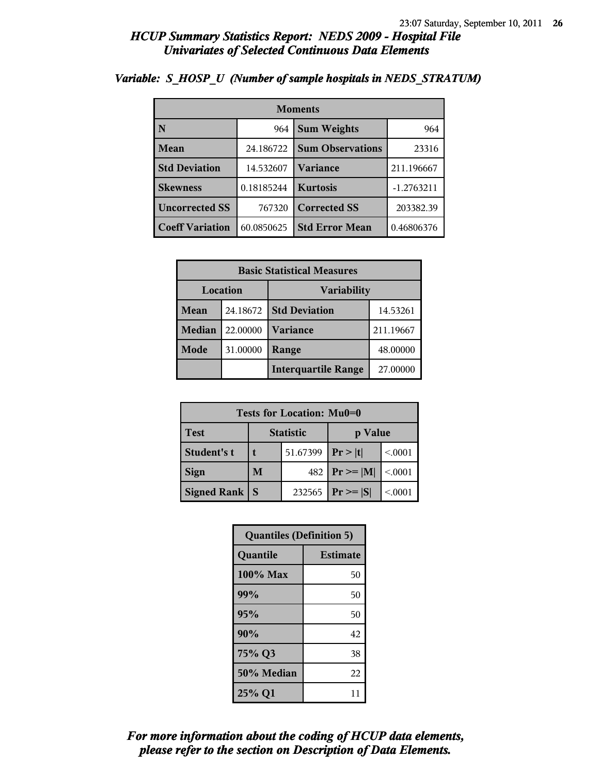| <b>Moments</b>         |            |                         |              |  |  |
|------------------------|------------|-------------------------|--------------|--|--|
| N                      | 964        | <b>Sum Weights</b>      | 964          |  |  |
| Mean                   | 24.186722  | <b>Sum Observations</b> | 23316        |  |  |
| <b>Std Deviation</b>   | 14.532607  | Variance                | 211.196667   |  |  |
| <b>Skewness</b>        | 0.18185244 | <b>Kurtosis</b>         | $-1.2763211$ |  |  |
| <b>Uncorrected SS</b>  | 767320     | <b>Corrected SS</b>     | 203382.39    |  |  |
| <b>Coeff Variation</b> | 60.0850625 | <b>Std Error Mean</b>   | 0.46806376   |  |  |

## *Variable: S\_HOSP\_U (Number of sample hospitals in NEDS\_STRATUM)*

| <b>Basic Statistical Measures</b> |          |                            |           |  |
|-----------------------------------|----------|----------------------------|-----------|--|
| Location<br><b>Variability</b>    |          |                            |           |  |
| Mean                              | 24.18672 | <b>Std Deviation</b>       | 14.53261  |  |
| <b>Median</b>                     | 22.00000 | <b>Variance</b>            | 211.19667 |  |
| <b>Mode</b>                       | 31.00000 | Range                      | 48.00000  |  |
|                                   |          | <b>Interquartile Range</b> | 27.00000  |  |

| Tests for Location: Mu0=0 |                             |        |                    |         |  |  |
|---------------------------|-----------------------------|--------|--------------------|---------|--|--|
| <b>Test</b>               | <b>Statistic</b><br>p Value |        |                    |         |  |  |
| Student's t               | 51.67399                    |        | Pr >  t            | < 0001  |  |  |
| <b>Sign</b>               | M                           |        | 482   $Pr \ge  M $ | < 0.001 |  |  |
| <b>Signed Rank</b>        | S                           | 232565 | $Pr \geq  S $      | < 0001  |  |  |

| <b>Quantiles (Definition 5)</b> |                 |  |  |
|---------------------------------|-----------------|--|--|
| Quantile                        | <b>Estimate</b> |  |  |
| 100% Max                        | 50              |  |  |
| 99%                             | 50              |  |  |
| 95%                             | 50              |  |  |
| 90%                             | 42              |  |  |
| 75% Q3                          | 38              |  |  |
| 50% Median                      | 22              |  |  |
| 25% Q1                          | 11              |  |  |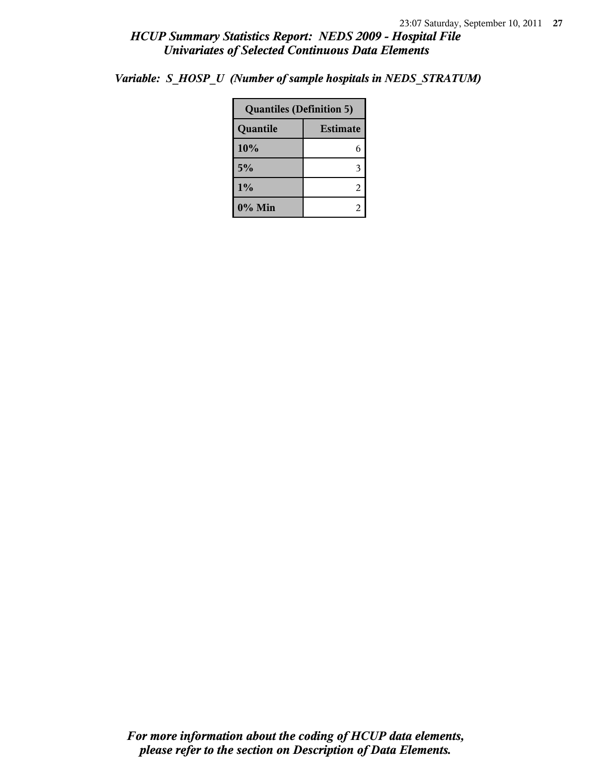|                             | <b>Quantiles (Definition 5)</b> |  |  |
|-----------------------------|---------------------------------|--|--|
| <b>Estimate</b><br>Quantile |                                 |  |  |
| 10%                         | 6                               |  |  |
| 5%                          | 3                               |  |  |
| 1%                          | 2                               |  |  |
| 0% Min                      | 2                               |  |  |

*Variable: S\_HOSP\_U (Number of sample hospitals in NEDS\_STRATUM)*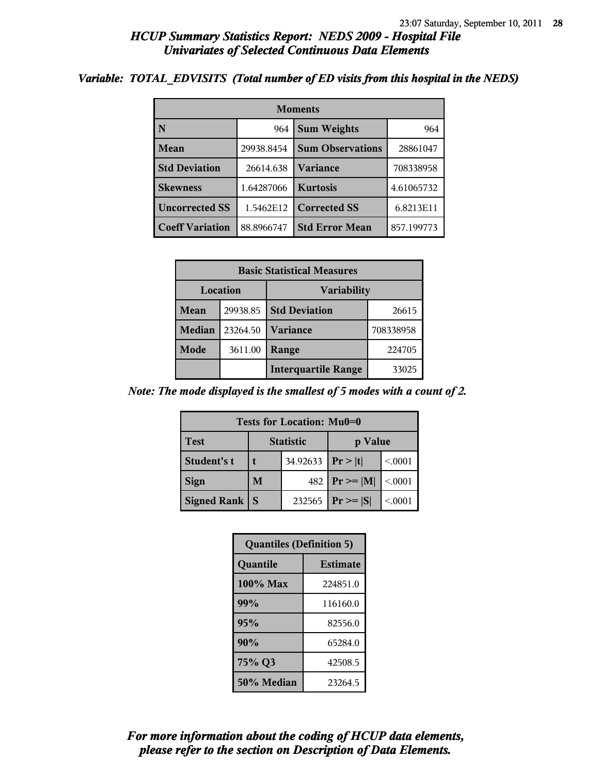#### *Variable: TOTAL\_EDVISITS (Total number of ED visits from this hospital in the NEDS)*

| <b>Moments</b>         |            |                           |            |  |  |
|------------------------|------------|---------------------------|------------|--|--|
| $\mathbf{N}$           | 964        | <b>Sum Weights</b><br>964 |            |  |  |
| Mean                   | 29938.8454 | <b>Sum Observations</b>   | 28861047   |  |  |
| <b>Std Deviation</b>   | 26614.638  | <b>Variance</b>           | 708338958  |  |  |
| <b>Skewness</b>        | 1.64287066 | <b>Kurtosis</b>           | 4.61065732 |  |  |
| <b>Uncorrected SS</b>  | 1.5462E12  | <b>Corrected SS</b>       | 6.8213E11  |  |  |
| <b>Coeff Variation</b> | 88.8966747 | <b>Std Error Mean</b>     | 857.199773 |  |  |

| <b>Basic Statistical Measures</b> |          |                            |           |  |
|-----------------------------------|----------|----------------------------|-----------|--|
| Location<br><b>Variability</b>    |          |                            |           |  |
| Mean                              | 29938.85 | <b>Std Deviation</b>       | 26615     |  |
| Median                            | 23264.50 | Variance                   | 708338958 |  |
| Mode                              | 3611.00  | Range                      | 224705    |  |
|                                   |          | <b>Interquartile Range</b> | 33025     |  |

*Note: The mode displayed is the smallest of 5 modes with a count of 2.*

| <b>Tests for Location: Mu0=0</b> |                             |          |               |         |  |  |
|----------------------------------|-----------------------------|----------|---------------|---------|--|--|
| <b>Test</b>                      | <b>Statistic</b><br>p Value |          |               |         |  |  |
| Student's t                      |                             | 34.92633 | Pr >  t       | < 0001  |  |  |
| <b>Sign</b>                      | M                           | 482      | $Pr \geq  M $ | < 0.001 |  |  |
| <b>Signed Rank</b>               | S                           | 232565   | $Pr \geq  S $ | < 0001  |  |  |

| <b>Quantiles (Definition 5)</b> |                 |
|---------------------------------|-----------------|
| Quantile                        | <b>Estimate</b> |
| 100% Max                        | 224851.0        |
| 99%                             | 116160.0        |
| 95%                             | 82556.0         |
| 90%                             | 65284.0         |
| 75% Q3                          | 42508.5         |
| 50% Median                      | 23264.5         |